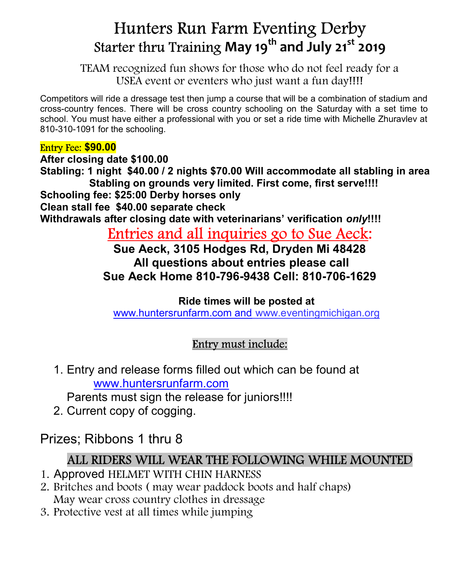# Hunters Run Farm Eventing Derby Starter thru Training May 1**5** th and July **<sup>17</sup>**<sup>t</sup> 20**22**

TEAM recognized fun shows for those who do not feel ready for a USEA event or eventers who just want a fun day!!!!

Competitors will ride a dressage test then jump a course that will be a combination of stadium and cross-country fences. There will be cross country schooling on the Saturday with a set time to school. You must have either a professional with you or set a ride time with Michelle Zhuravlev at 810-310-1091 for the schooling.

#### Entry Fee: \$90.00

After closing date \$100.00 Stabling: 1 night \$40.00 / 2 nights \$70.00 Will accommodate all stabling in area Stabling on grounds very limited. First come, first serve!!!! Schooling fee: \$25:00 Derby horses only Clean stall fee \$40.00 separate check Withdrawals after closing date with veterinarians' verification only!!!!

Entries and all inquiries go to Sue Aeck:

### Sue Aeck, 3105 Hodges Rd, Dryden Mi 48428 All questions about entries please call Sue Aeck Home 810-796-9438 Cell: 810-706-1629

Ride times will be posted at

www.huntersrunfarm.com and www.eventingmichigan.org

### Entry must include:

1. Entry and release forms filled out which can be found at www.huntersrunfarm.com

Parents must sign the release for juniors!!!!

2. Current copy of cogging.

## Prizes; Ribbons 1 thru 8

### ALL RIDERS WILL WEAR THE FOLLOWING WHILE MOUNTED

- 1. Approved HELMET WITH CHIN HARNESS
- 2. Britches and boots ( may wear paddock boots and half chaps) May wear cross country clothes in dressage
- 3. Protective vest at all times while jumping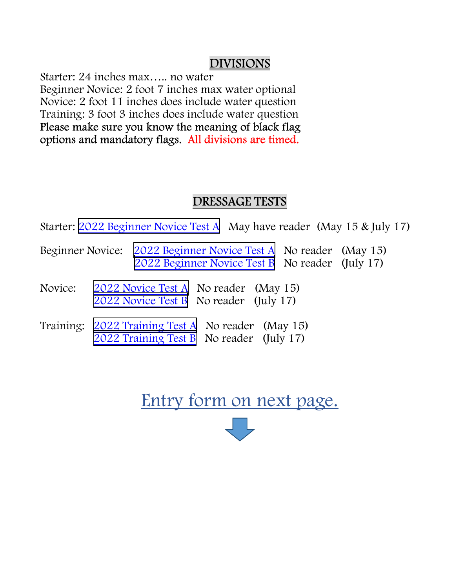### DIVISIONS

Starter: 24 inches max….. no water Beginner Novice: 2 foot 7 inches max water optional Novice: 2 foot 11 inches does include water question Training: 3 foot 3 inches does include water question Please make sure you know the meaning of black flag options and mandatory flags. All divisions are timed.

### DRESSAGE TESTS

Starter: [2022 Beginner Novice Test A](https://useventing.com/resources/documents/2022-USEF-BEGINNER-NOVICE-TEST-A-WEB.pdf) May have reader (May 15 & July 17)

- Beginner Novice: [2022 Beginner Novice Test A](https://useventing.com/resources/documents/2022-USEF-BEGINNER-NOVICE-TEST-A-WEB.pdf) No reader (May 15) [2022 Beginner Novice Test B](https://useventing.com/resources/documents/2022-USEF-BEGINNER-NOVICE-TEST-B-WEB.pdf) No reader (July 17)
- Novice: [2022 Novice Test A](https://useventing.com/resources/documents/2022-USEF-NOVICE-TEST-A-WEB.pdf) No reader (May 15) [2022 Novice Test B](https://useventing.com/resources/documents/2022-USEF-NOVICE-TEST-B-WEB.pdf) No reader (July 17)
- Training: [2022 Training Test A](https://useventing.com/resources/documents/2022-USEF-TRAINING-TEST-A-WEB.pdf) No reader (May 15) [2022 Training Test B](https://useventing.com/resources/documents/2022-USEF-TRAINING-TEST-B-WEB.pdf) No reader (July 17)

Entry form on next page.